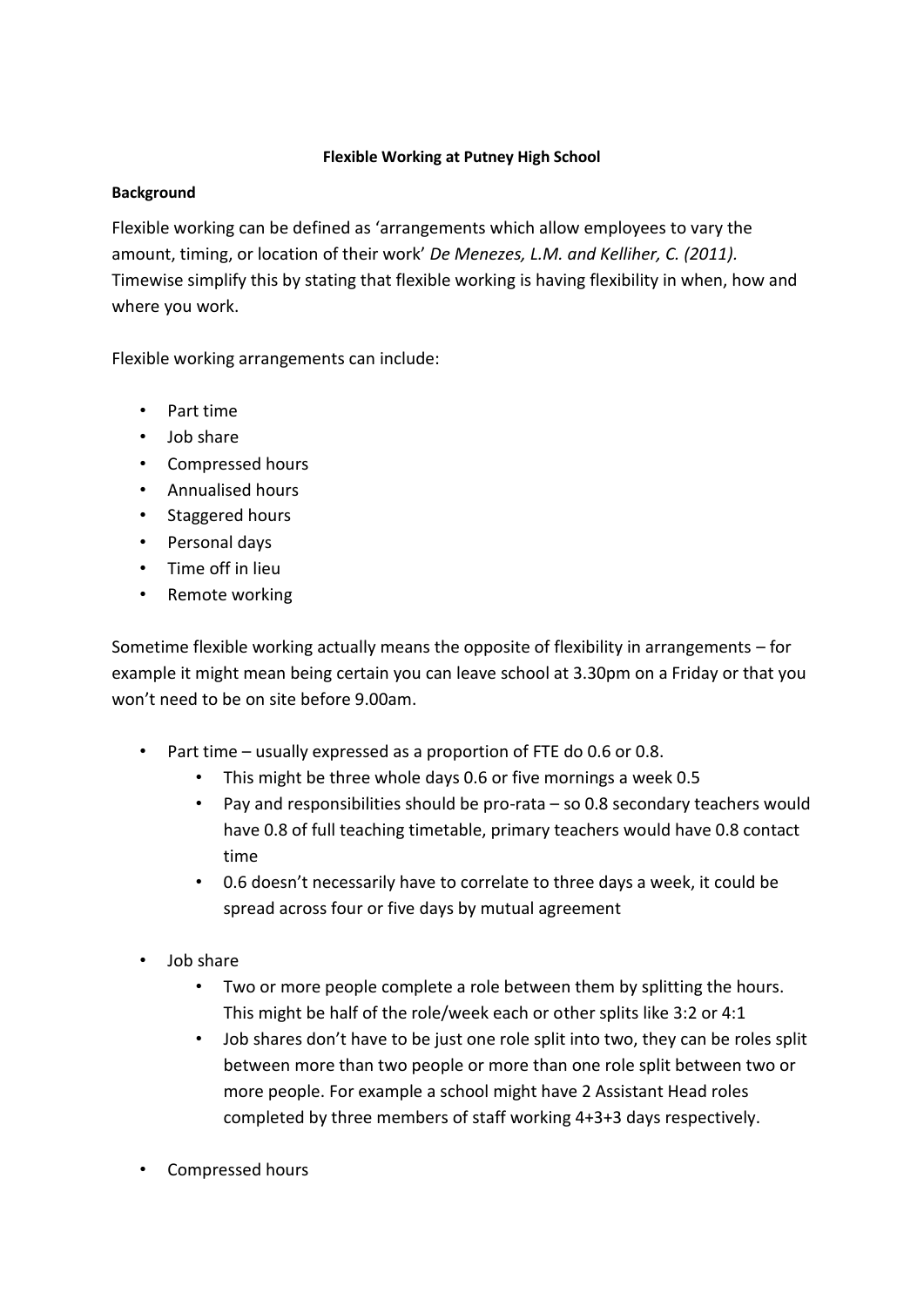## **Flexible Working at Putney High School**

### **Background**

Flexible working can be defined as 'arrangements which allow employees to vary the amount, timing, or location of their work' *De Menezes, L.M. and Kelliher, C. (2011).*  Timewise simplify this by stating that flexible working is having flexibility in when, how and where you work.

Flexible working arrangements can include:

- Part time
- Job share
- Compressed hours
- Annualised hours
- Staggered hours
- Personal days
- Time off in lieu
- Remote working

Sometime flexible working actually means the opposite of flexibility in arrangements – for example it might mean being certain you can leave school at 3.30pm on a Friday or that you won't need to be on site before 9.00am.

- Part time usually expressed as a proportion of FTE do 0.6 or 0.8.
	- This might be three whole days 0.6 or five mornings a week 0.5
	- Pay and responsibilities should be pro-rata so 0.8 secondary teachers would have 0.8 of full teaching timetable, primary teachers would have 0.8 contact time
	- 0.6 doesn't necessarily have to correlate to three days a week, it could be spread across four or five days by mutual agreement
- Job share
	- Two or more people complete a role between them by splitting the hours. This might be half of the role/week each or other splits like 3:2 or 4:1
	- Job shares don't have to be just one role split into two, they can be roles split between more than two people or more than one role split between two or more people. For example a school might have 2 Assistant Head roles completed by three members of staff working 4+3+3 days respectively.
- Compressed hours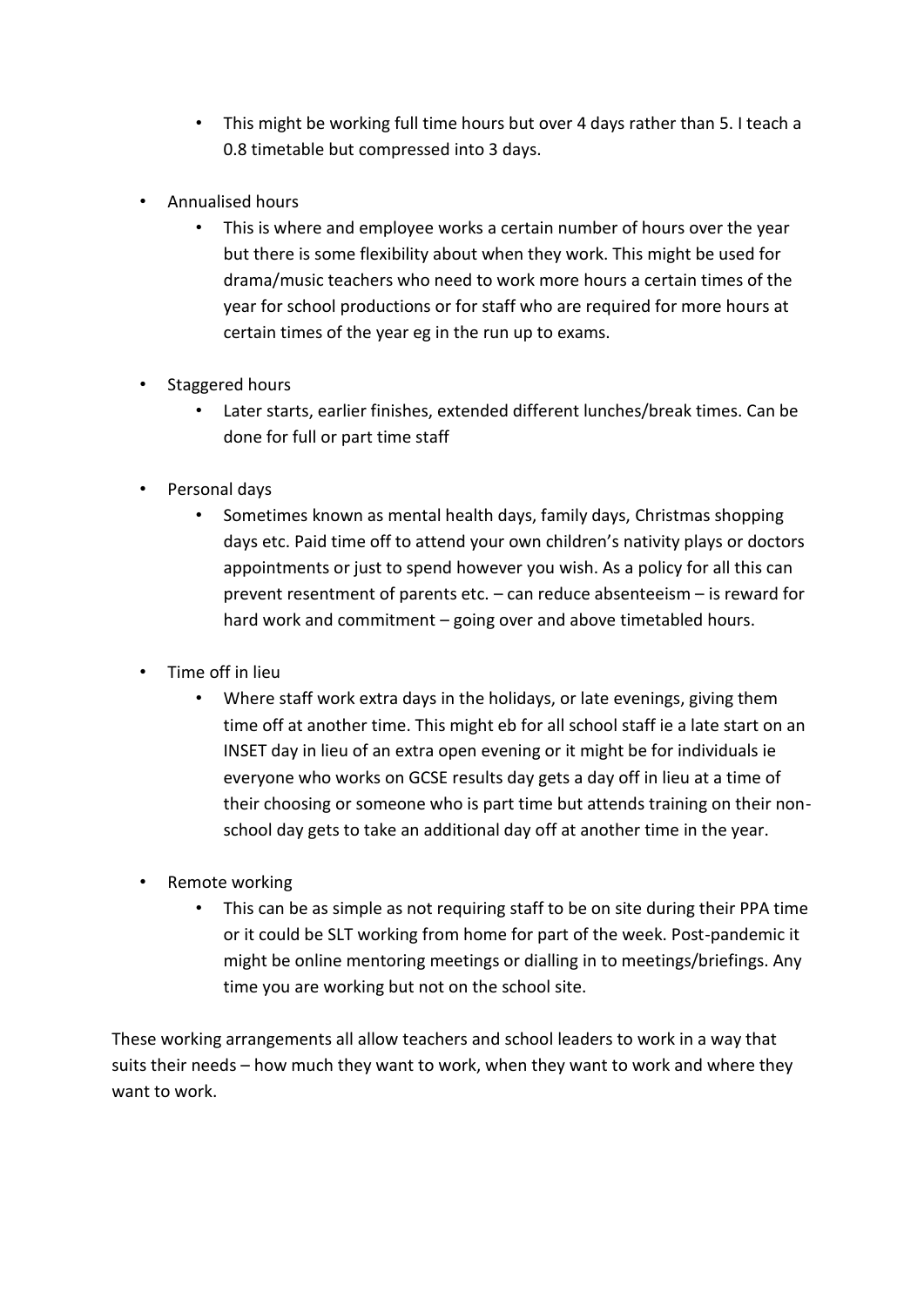- This might be working full time hours but over 4 days rather than 5. I teach a 0.8 timetable but compressed into 3 days.
- Annualised hours
	- This is where and employee works a certain number of hours over the year but there is some flexibility about when they work. This might be used for drama/music teachers who need to work more hours a certain times of the year for school productions or for staff who are required for more hours at certain times of the year eg in the run up to exams.
- Staggered hours
	- Later starts, earlier finishes, extended different lunches/break times. Can be done for full or part time staff
- Personal days
	- Sometimes known as mental health days, family days, Christmas shopping days etc. Paid time off to attend your own children's nativity plays or doctors appointments or just to spend however you wish. As a policy for all this can prevent resentment of parents etc. – can reduce absenteeism – is reward for hard work and commitment – going over and above timetabled hours.
- Time off in lieu
	- Where staff work extra days in the holidays, or late evenings, giving them time off at another time. This might eb for all school staff ie a late start on an INSET day in lieu of an extra open evening or it might be for individuals ie everyone who works on GCSE results day gets a day off in lieu at a time of their choosing or someone who is part time but attends training on their nonschool day gets to take an additional day off at another time in the year.
- Remote working
	- This can be as simple as not requiring staff to be on site during their PPA time or it could be SLT working from home for part of the week. Post-pandemic it might be online mentoring meetings or dialling in to meetings/briefings. Any time you are working but not on the school site.

These working arrangements all allow teachers and school leaders to work in a way that suits their needs – how much they want to work, when they want to work and where they want to work.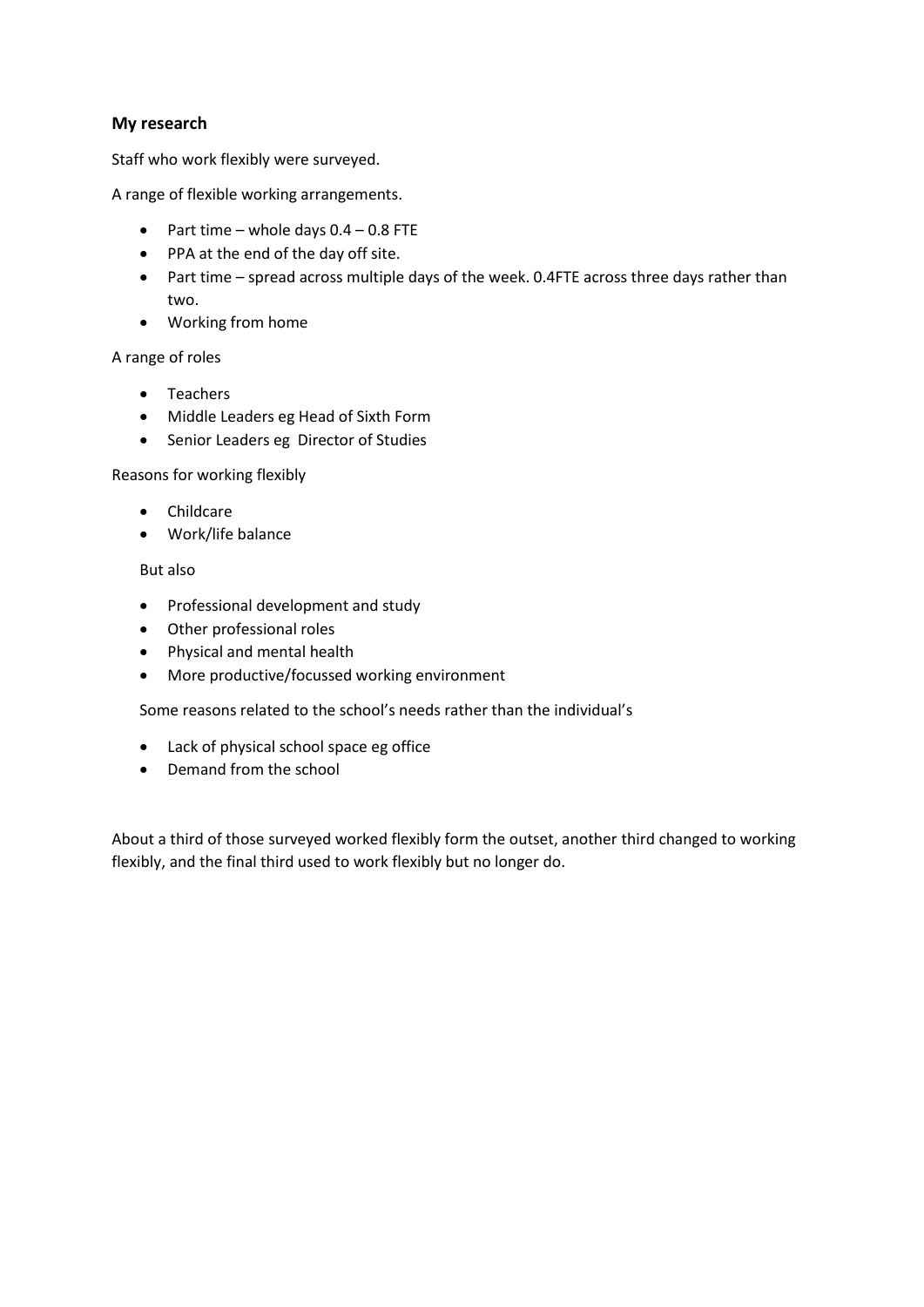### **My research**

Staff who work flexibly were surveyed.

A range of flexible working arrangements.

- Part time whole days  $0.4 0.8$  FTE
- PPA at the end of the day off site.
- Part time spread across multiple days of the week. 0.4FTE across three days rather than two.
- Working from home

A range of roles

- Teachers
- Middle Leaders eg Head of Sixth Form
- Senior Leaders eg Director of Studies

Reasons for working flexibly

- Childcare
- Work/life balance

But also

- Professional development and study
- Other professional roles
- Physical and mental health
- More productive/focussed working environment

Some reasons related to the school's needs rather than the individual's

- Lack of physical school space eg office
- Demand from the school

About a third of those surveyed worked flexibly form the outset, another third changed to working flexibly, and the final third used to work flexibly but no longer do.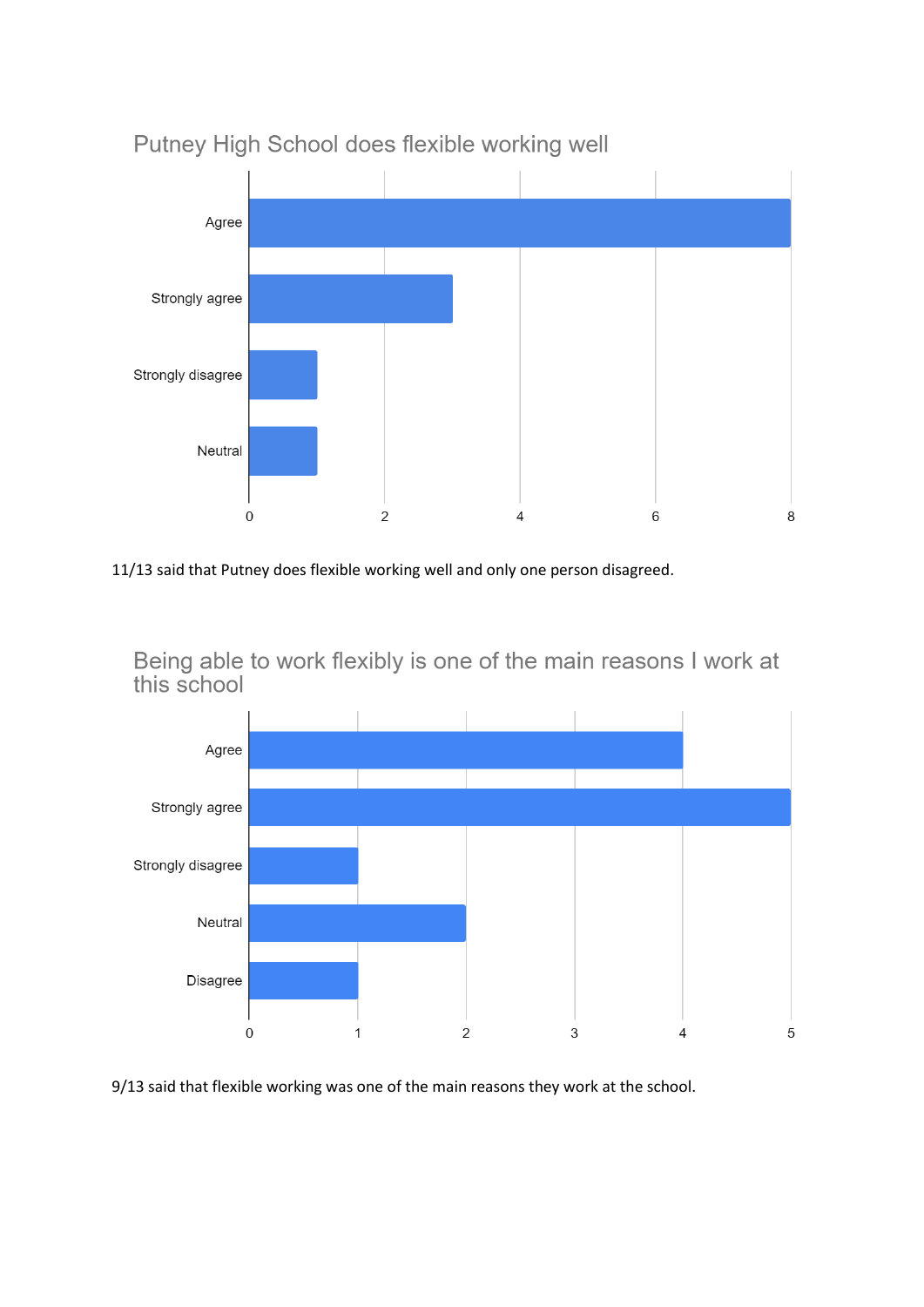

## Putney High School does flexible working well

11/13 said that Putney does flexible working well and only one person disagreed.

Being able to work flexibly is one of the main reasons I work at this school



9/13 said that flexible working was one of the main reasons they work at the school.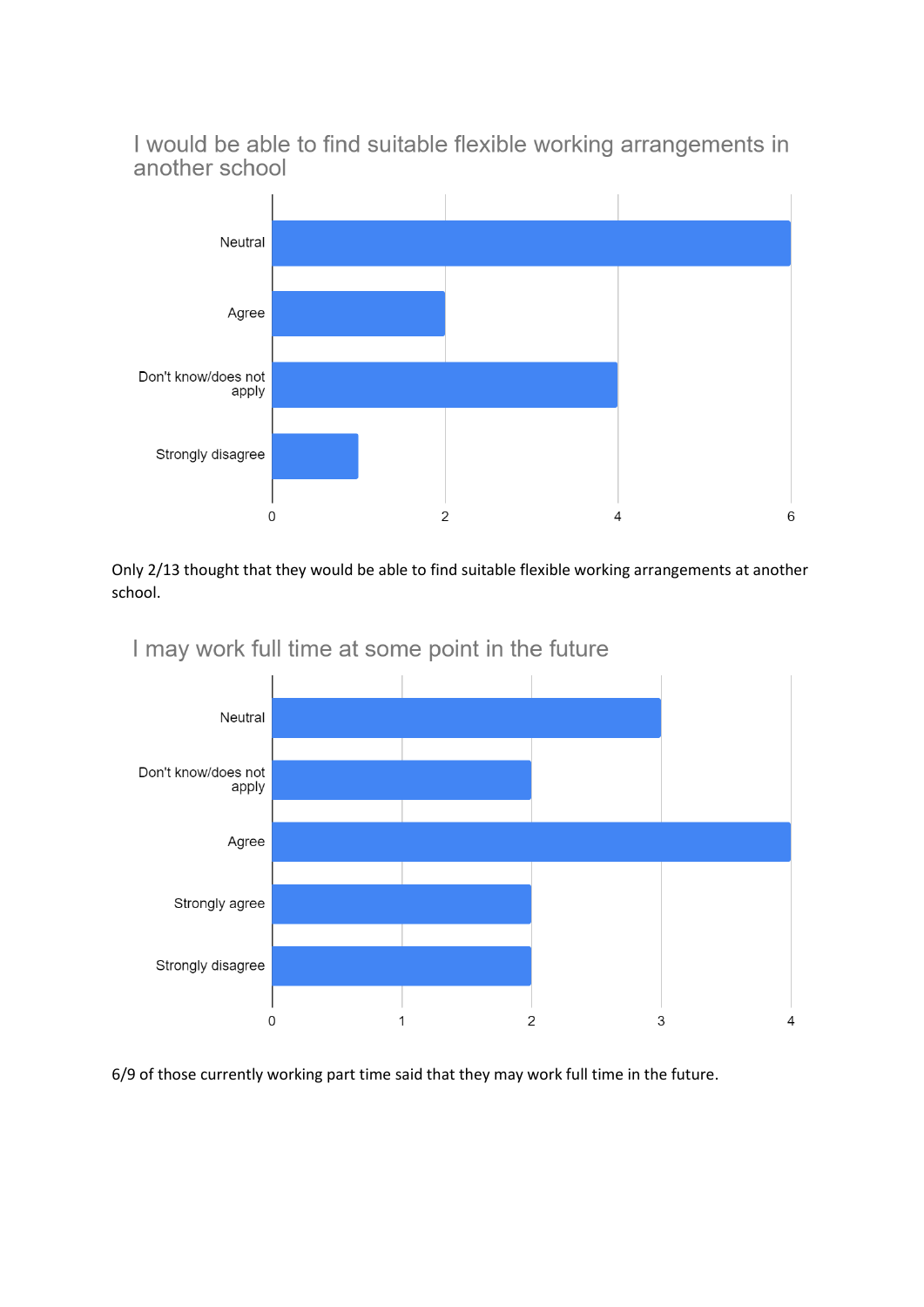I would be able to find suitable flexible working arrangements in another school



Only 2/13 thought that they would be able to find suitable flexible working arrangements at another school.



I may work full time at some point in the future

6/9 of those currently working part time said that they may work full time in the future.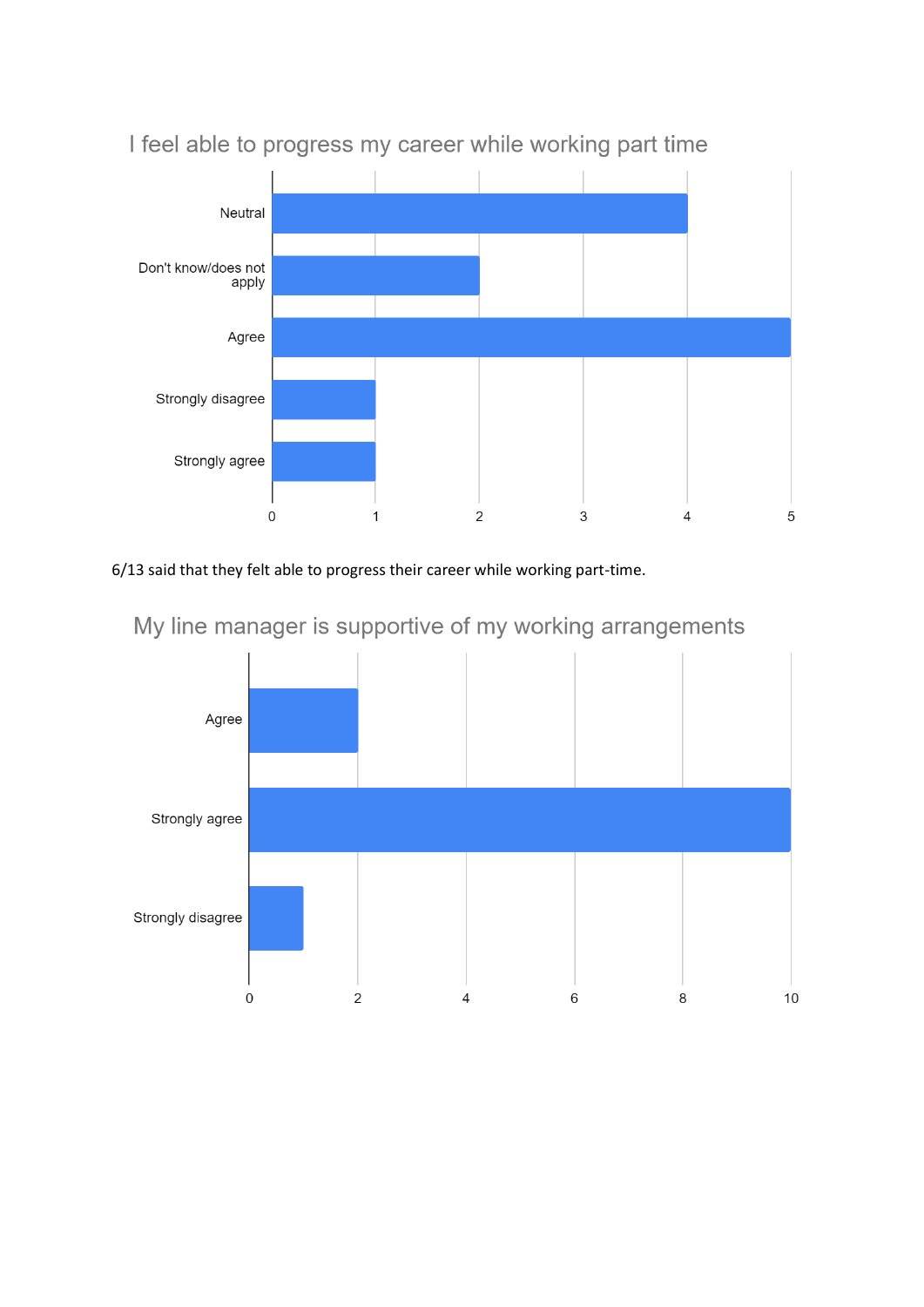

# I feel able to progress my career while working part time

## 6/13 said that they felt able to progress their career while working part-time.



# My line manager is supportive of my working arrangements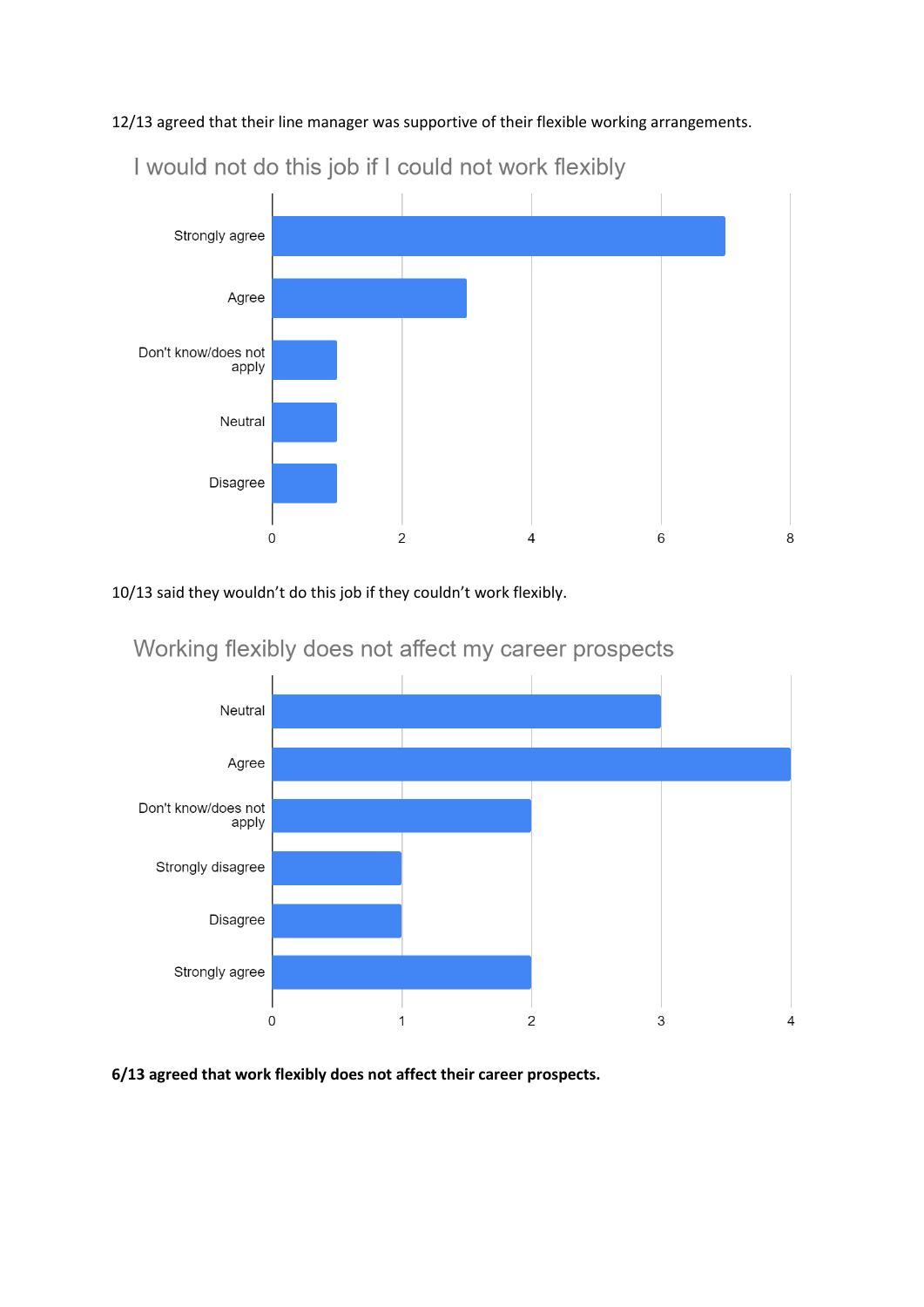12/13 agreed that their line manager was supportive of their flexible working arrangements.



I would not do this job if I could not work flexibly

10/13 said they wouldn't do this job if they couldn't work flexibly.



Working flexibly does not affect my career prospects

**6/13 agreed that work flexibly does not affect their career prospects.**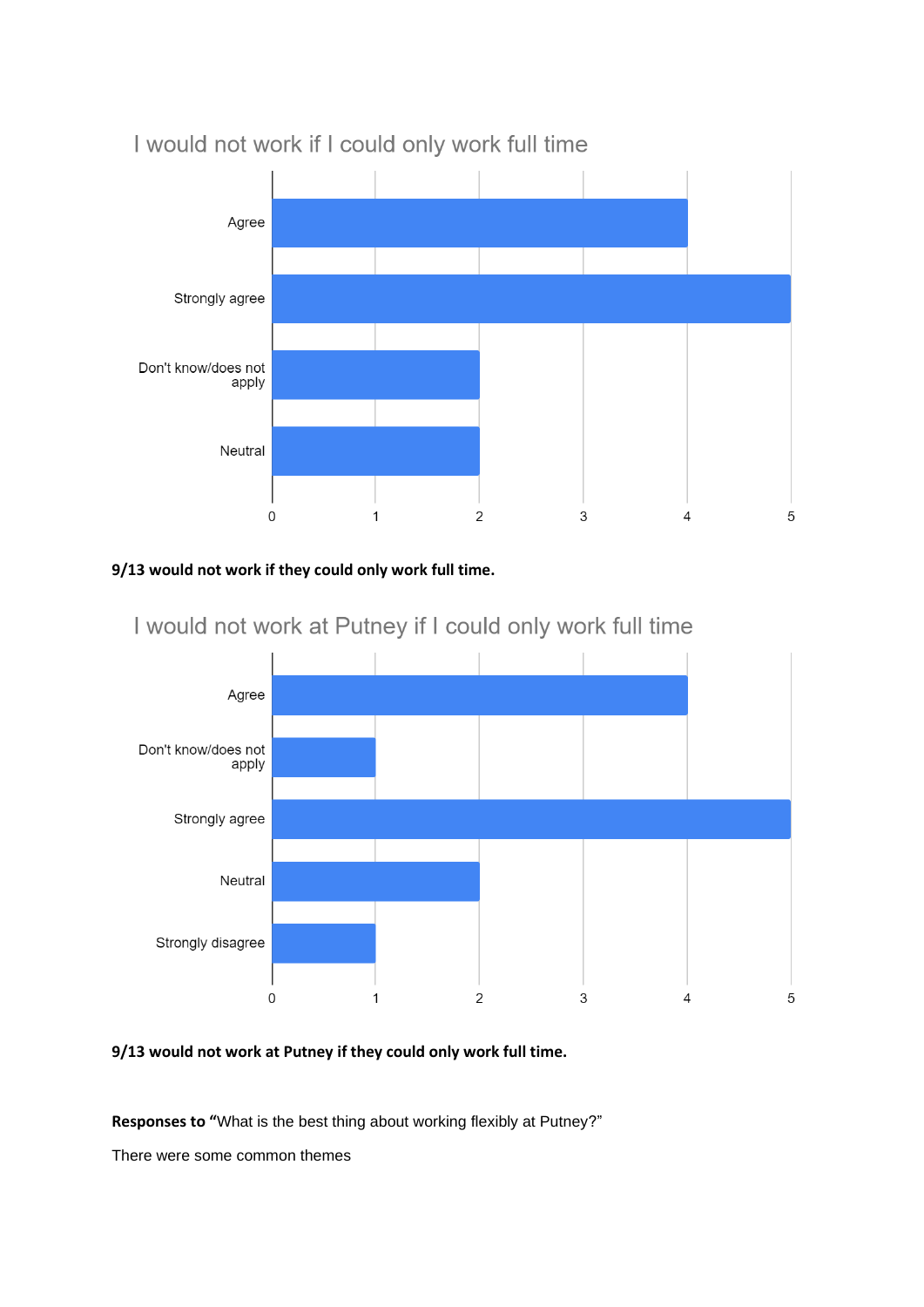

## I would not work if I could only work full time

### **9/13 would not work if they could only work full time.**



# I would not work at Putney if I could only work full time

## **9/13 would not work at Putney if they could only work full time.**

**Responses to "**What is the best thing about working flexibly at Putney?"

There were some common themes